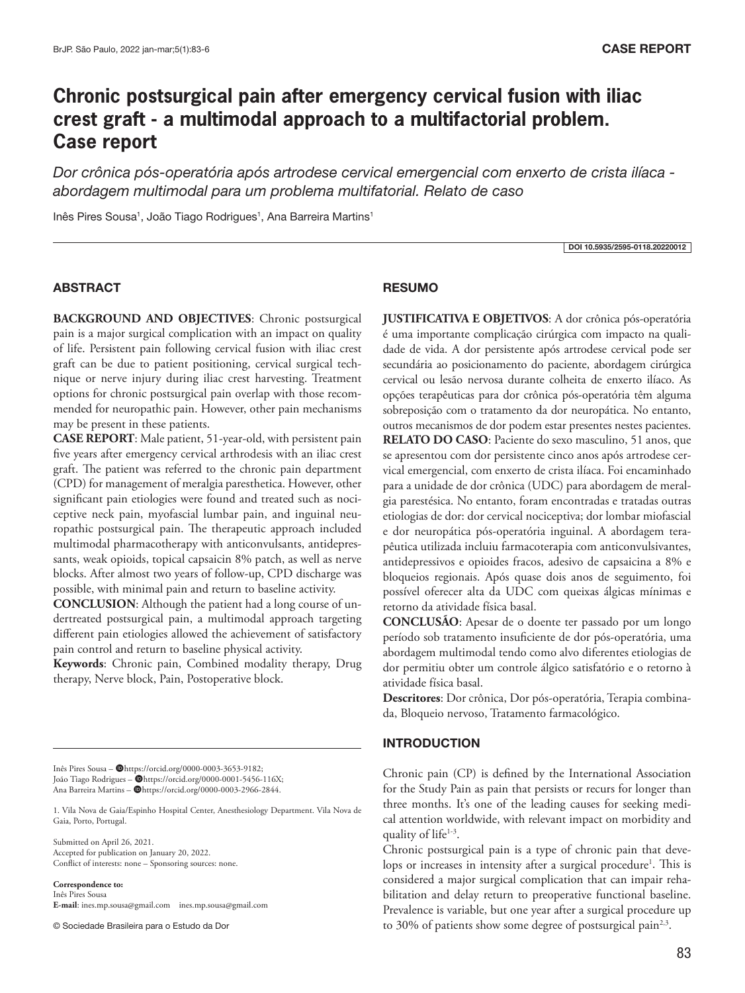# **Chronic postsurgical pain after emergency cervical fusion with iliac crest graft - a multimodal approach to a multifactorial problem. Case report**

*Dor crônica pós-operatória após artrodese cervical emergencial com enxerto de crista ilíaca abordagem multimodal para um problema multifatorial. Relato de caso*

Inês Pires Sousa<sup>1</sup>, João Tiago Rodrigues<sup>1</sup>, Ana Barreira Martins<sup>1</sup>

DOI 10.5935/2595-0118.20220012

#### ABSTRACT

**BACKGROUND AND OBJECTIVES**: Chronic postsurgical pain is a major surgical complication with an impact on quality of life. Persistent pain following cervical fusion with iliac crest graft can be due to patient positioning, cervical surgical technique or nerve injury during iliac crest harvesting. Treatment options for chronic postsurgical pain overlap with those recommended for neuropathic pain. However, other pain mechanisms may be present in these patients.

**CASE REPORT**: Male patient, 51-year-old, with persistent pain five years after emergency cervical arthrodesis with an iliac crest graft. The patient was referred to the chronic pain department (CPD) for management of meralgia paresthetica. However, other significant pain etiologies were found and treated such as nociceptive neck pain, myofascial lumbar pain, and inguinal neuropathic postsurgical pain. The therapeutic approach included multimodal pharmacotherapy with anticonvulsants, antidepressants, weak opioids, topical capsaicin 8% patch, as well as nerve blocks. After almost two years of follow-up, CPD discharge was possible, with minimal pain and return to baseline activity.

**CONCLUSION**: Although the patient had a long course of undertreated postsurgical pain, a multimodal approach targeting different pain etiologies allowed the achievement of satisfactory pain control and return to baseline physical activity.

**Keywords**: Chronic pain, Combined modality therapy, Drug therapy, Nerve block, Pain, Postoperative block.

Inês Pires Sousa - @https://orcid.org/0000-0003-3653-9182; João Tiago Rodrigues – @https://orcid.org/0000-0001-5456-116X; Ana Barreira Martins - @https://orcid.org/0000-0003-2966-2844.

1. Vila Nova de Gaia/Espinho Hospital Center, Anesthesiology Department. Vila Nova de Gaia, Porto, Portugal.

Submitted on April 26, 2021. Accepted for publication on January 20, 2022. Conflict of interests: none – Sponsoring sources: none.

**Correspondence to:**

Inês Pires Sousa **E-mail**: ines.mp.sousa@gmail.com ines.mp.sousa@gmail.com

© Sociedade Brasileira para o Estudo da Dor

#### RESUMO

**JUSTIFICATIVA E OBJETIVOS**: A dor crônica pós-operatória é uma importante complicação cirúrgica com impacto na qualidade de vida. A dor persistente após artrodese cervical pode ser secundária ao posicionamento do paciente, abordagem cirúrgica cervical ou lesão nervosa durante colheita de enxerto ilíaco. As opções terapêuticas para dor crônica pós-operatória têm alguma sobreposição com o tratamento da dor neuropática. No entanto, outros mecanismos de dor podem estar presentes nestes pacientes. **RELATO DO CASO**: Paciente do sexo masculino, 51 anos, que se apresentou com dor persistente cinco anos após artrodese cervical emergencial, com enxerto de crista ilíaca. Foi encaminhado para a unidade de dor crônica (UDC) para abordagem de meralgia parestésica. No entanto, foram encontradas e tratadas outras etiologias de dor: dor cervical nociceptiva; dor lombar miofascial e dor neuropática pós-operatória inguinal. A abordagem terapêutica utilizada incluiu farmacoterapia com anticonvulsivantes, antidepressivos e opioides fracos, adesivo de capsaicina a 8% e bloqueios regionais. Após quase dois anos de seguimento, foi possível oferecer alta da UDC com queixas álgicas mínimas e retorno da atividade física basal.

**CONCLUSÃO**: Apesar de o doente ter passado por um longo período sob tratamento insuficiente de dor pós-operatória, uma abordagem multimodal tendo como alvo diferentes etiologias de dor permitiu obter um controle álgico satisfatório e o retorno à atividade física basal.

**Descritores**: Dor crônica, Dor pós-operatória, Terapia combinada, Bloqueio nervoso, Tratamento farmacológico.

## **INTRODUCTION**

Chronic pain (CP) is defined by the International Association for the Study Pain as pain that persists or recurs for longer than three months. It's one of the leading causes for seeking medical attention worldwide, with relevant impact on morbidity and quality of life $1-3$ .

Chronic postsurgical pain is a type of chronic pain that develops or increases in intensity after a surgical procedure<sup>1</sup>. This is considered a major surgical complication that can impair rehabilitation and delay return to preoperative functional baseline. Prevalence is variable, but one year after a surgical procedure up to 30% of patients show some degree of postsurgical pain<sup>2,3</sup>.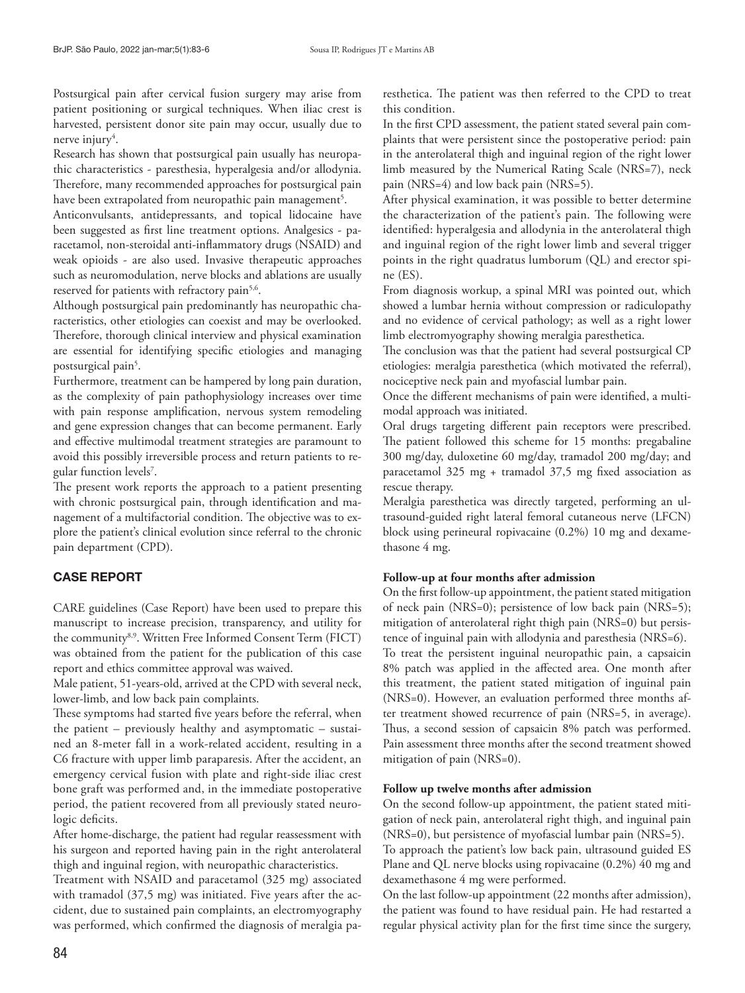Postsurgical pain after cervical fusion surgery may arise from patient positioning or surgical techniques. When iliac crest is harvested, persistent donor site pain may occur, usually due to nerve injury<sup>4</sup>.

Research has shown that postsurgical pain usually has neuropathic characteristics - paresthesia, hyperalgesia and/or allodynia. Therefore, many recommended approaches for postsurgical pain have been extrapolated from neuropathic pain management<sup>5</sup>.

Anticonvulsants, antidepressants, and topical lidocaine have been suggested as first line treatment options. Analgesics - paracetamol, non-steroidal anti-inflammatory drugs (NSAID) and weak opioids - are also used. Invasive therapeutic approaches such as neuromodulation, nerve blocks and ablations are usually reserved for patients with refractory pain<sup>5,6</sup>.

Although postsurgical pain predominantly has neuropathic characteristics, other etiologies can coexist and may be overlooked. Therefore, thorough clinical interview and physical examination are essential for identifying specific etiologies and managing postsurgical pain<sup>5</sup>.

Furthermore, treatment can be hampered by long pain duration, as the complexity of pain pathophysiology increases over time with pain response amplification, nervous system remodeling and gene expression changes that can become permanent. Early and effective multimodal treatment strategies are paramount to avoid this possibly irreversible process and return patients to regular function levels7 .

The present work reports the approach to a patient presenting with chronic postsurgical pain, through identification and management of a multifactorial condition. The objective was to explore the patient's clinical evolution since referral to the chronic pain department (CPD).

## CASE REPORT

CARE guidelines (Case Report) have been used to prepare this manuscript to increase precision, transparency, and utility for the community<sup>8,9</sup>. Written Free Informed Consent Term (FICT) was obtained from the patient for the publication of this case report and ethics committee approval was waived.

Male patient, 51-years-old, arrived at the CPD with several neck, lower-limb, and low back pain complaints.

These symptoms had started five years before the referral, when the patient – previously healthy and asymptomatic – sustained an 8-meter fall in a work-related accident, resulting in a C6 fracture with upper limb paraparesis. After the accident, an emergency cervical fusion with plate and right-side iliac crest bone graft was performed and, in the immediate postoperative period, the patient recovered from all previously stated neurologic deficits.

After home-discharge, the patient had regular reassessment with his surgeon and reported having pain in the right anterolateral thigh and inguinal region, with neuropathic characteristics.

Treatment with NSAID and paracetamol (325 mg) associated with tramadol (37,5 mg) was initiated. Five years after the accident, due to sustained pain complaints, an electromyography was performed, which confirmed the diagnosis of meralgia paresthetica. The patient was then referred to the CPD to treat this condition.

In the first CPD assessment, the patient stated several pain complaints that were persistent since the postoperative period: pain in the anterolateral thigh and inguinal region of the right lower limb measured by the Numerical Rating Scale (NRS=7), neck pain (NRS=4) and low back pain (NRS=5).

After physical examination, it was possible to better determine the characterization of the patient's pain. The following were identified: hyperalgesia and allodynia in the anterolateral thigh and inguinal region of the right lower limb and several trigger points in the right quadratus lumborum (QL) and erector spine (ES).

From diagnosis workup, a spinal MRI was pointed out, which showed a lumbar hernia without compression or radiculopathy and no evidence of cervical pathology; as well as a right lower limb electromyography showing meralgia paresthetica.

The conclusion was that the patient had several postsurgical CP etiologies: meralgia paresthetica (which motivated the referral), nociceptive neck pain and myofascial lumbar pain.

Once the different mechanisms of pain were identified, a multimodal approach was initiated.

Oral drugs targeting different pain receptors were prescribed. The patient followed this scheme for 15 months: pregabaline 300 mg/day, duloxetine 60 mg/day, tramadol 200 mg/day; and paracetamol 325 mg + tramadol 37,5 mg fixed association as rescue therapy.

Meralgia paresthetica was directly targeted, performing an ultrasound-guided right lateral femoral cutaneous nerve (LFCN) block using perineural ropivacaine (0.2%) 10 mg and dexamethasone 4 mg.

## **Follow-up at four months after admission**

On the first follow-up appointment, the patient stated mitigation of neck pain (NRS=0); persistence of low back pain (NRS=5); mitigation of anterolateral right thigh pain (NRS=0) but persistence of inguinal pain with allodynia and paresthesia (NRS=6). To treat the persistent inguinal neuropathic pain, a capsaicin 8% patch was applied in the affected area. One month after this treatment, the patient stated mitigation of inguinal pain (NRS=0). However, an evaluation performed three months after treatment showed recurrence of pain (NRS=5, in average). Thus, a second session of capsaicin 8% patch was performed. Pain assessment three months after the second treatment showed mitigation of pain (NRS=0).

## **Follow up twelve months after admission**

On the second follow-up appointment, the patient stated mitigation of neck pain, anterolateral right thigh, and inguinal pain (NRS=0), but persistence of myofascial lumbar pain (NRS=5). To approach the patient's low back pain, ultrasound guided ES Plane and QL nerve blocks using ropivacaine (0.2%) 40 mg and dexamethasone 4 mg were performed.

On the last follow-up appointment (22 months after admission), the patient was found to have residual pain. He had restarted a regular physical activity plan for the first time since the surgery,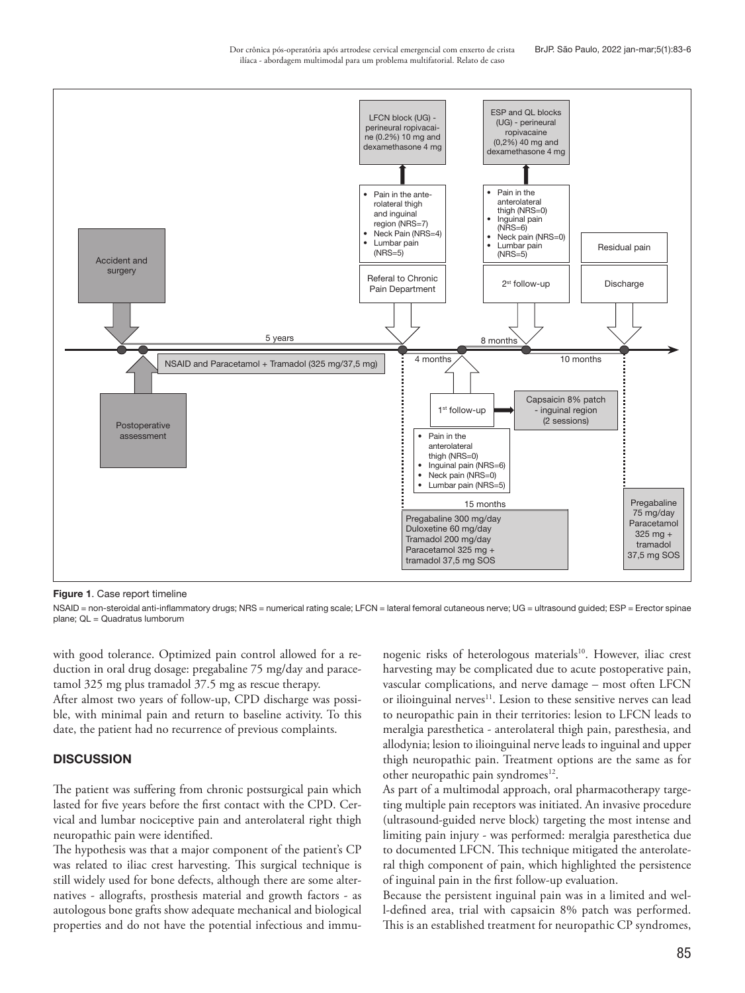Dor crônica pós-operatória após artrodese cervical emergencial com enxerto de crista ilíaca - abordagem multimodal para um problema multifatorial. Relato de caso



Figure 1. Case report timeline

NSAID = non-steroidal anti-inflammatory drugs; NRS = numerical rating scale; LFCN = lateral femoral cutaneous nerve; UG = ultrasound quided; ESP = Erector spinae plane; QL = Quadratus lumborum

with good tolerance. Optimized pain control allowed for a reduction in oral drug dosage: pregabaline 75 mg/day and paracetamol 325 mg plus tramadol 37.5 mg as rescue therapy.

After almost two years of follow-up, CPD discharge was possible, with minimal pain and return to baseline activity. To this date, the patient had no recurrence of previous complaints.

#### **DISCUSSION**

The patient was suffering from chronic postsurgical pain which lasted for five years before the first contact with the CPD. Cervical and lumbar nociceptive pain and anterolateral right thigh neuropathic pain were identified.

The hypothesis was that a major component of the patient's CP was related to iliac crest harvesting. This surgical technique is still widely used for bone defects, although there are some alternatives - allografts, prosthesis material and growth factors - as autologous bone grafts show adequate mechanical and biological properties and do not have the potential infectious and immu-

nogenic risks of heterologous materials<sup>10</sup>. However, iliac crest harvesting may be complicated due to acute postoperative pain, vascular complications, and nerve damage – most often LFCN or ilioinguinal nerves<sup>11</sup>. Lesion to these sensitive nerves can lead to neuropathic pain in their territories: lesion to LFCN leads to meralgia paresthetica - anterolateral thigh pain, paresthesia, and allodynia; lesion to ilioinguinal nerve leads to inguinal and upper thigh neuropathic pain. Treatment options are the same as for other neuropathic pain syndromes<sup>12</sup>.

As part of a multimodal approach, oral pharmacotherapy targeting multiple pain receptors was initiated. An invasive procedure (ultrasound-guided nerve block) targeting the most intense and limiting pain injury - was performed: meralgia paresthetica due to documented LFCN. This technique mitigated the anterolateral thigh component of pain, which highlighted the persistence of inguinal pain in the first follow-up evaluation.

Because the persistent inguinal pain was in a limited and well-defined area, trial with capsaicin 8% patch was performed. This is an established treatment for neuropathic CP syndromes,